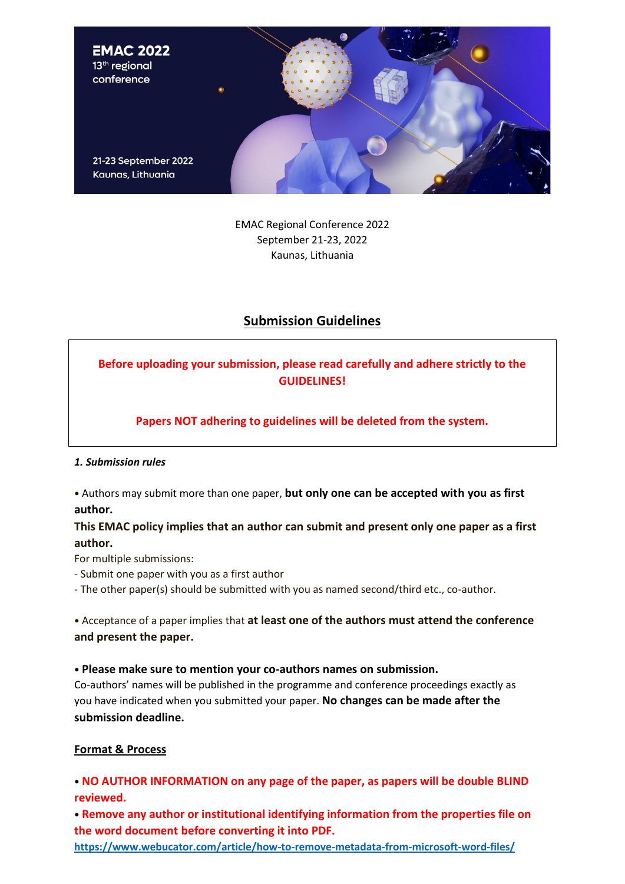

EMAC Regional Conference 2022 September 21-23, 2022 Kaunas, Lithuania

# **Submission Guidelines**

# **Before uploading your submission, please read carefully and adhere strictly to the GUIDELINES!**

**Papers NOT adhering to guidelines will be deleted from the system.**

#### *1. Submission rules*

• Authors may submit more than one paper, **but only one can be accepted with you as first author.**

**This EMAC policy implies that an author can submit and present only one paper as a first author.**

For multiple submissions:

- Submit one paper with you as a first author

- The other paper(s) should be submitted with you as named second/third etc., co-author.

• Acceptance of a paper implies that **at least one of the authors must attend the conference and present the paper.**

• **Please make sure to mention your co-authors names on submission.**

Co-authors' names will be published in the programme and conference proceedings exactly as you have indicated when you submitted your paper. **No changes can be made after the submission deadline.**

### **Format & Process**

• **NO AUTHOR INFORMATION on any page of the paper, as papers will be double BLIND reviewed.**

• **Remove any author or institutional identifying information from the properties file on the word document before converting it into PDF.**

**<https://www.webucator.com/article/how-to-remove-metadata-from-microsoft-word-files/>**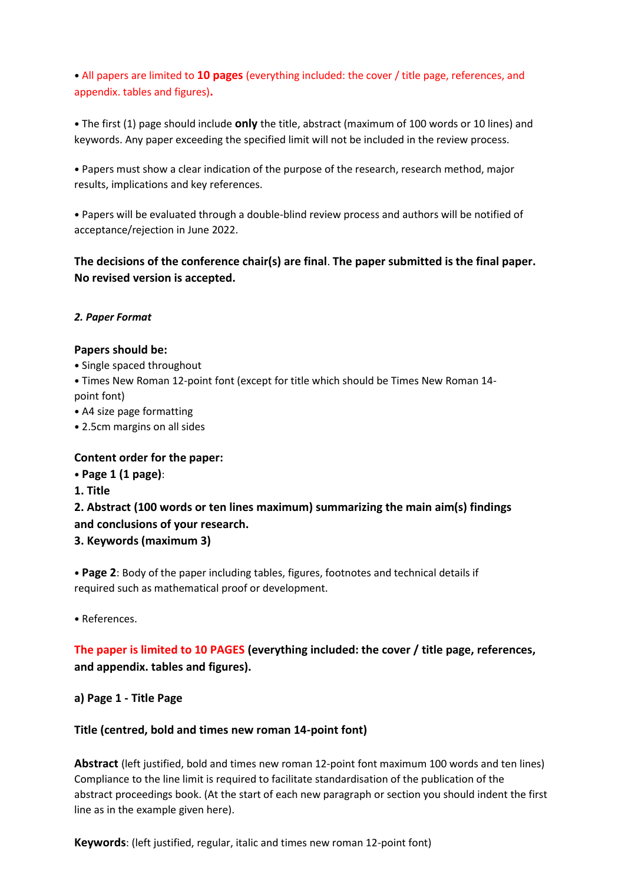• All papers are limited to **10 pages** (everything included: the cover / title page, references, and appendix. tables and figures)**.**

• The first (1) page should include **only** the title, abstract (maximum of 100 words or 10 lines) and keywords. Any paper exceeding the specified limit will not be included in the review process.

• Papers must show a clear indication of the purpose of the research, research method, major results, implications and key references.

• Papers will be evaluated through a double-blind review process and authors will be notified of acceptance/rejection in June 2022.

**The decisions of the conference chair(s) are final**. **The paper submitted is the final paper. No revised version is accepted.**

### *2. Paper Format*

#### **Papers should be:**

- Single spaced throughout
- Times New Roman 12-point font (except for title which should be Times New Roman 14 point font)
- A4 size page formatting
- 2.5cm margins on all sides

### **Content order for the paper:**

- **Page 1 (1 page)**:
- **1. Title**

**2. Abstract (100 words or ten lines maximum) summarizing the main aim(s) findings and conclusions of your research.**

**3. Keywords (maximum 3)**

• **Page 2**: Body of the paper including tables, figures, footnotes and technical details if required such as mathematical proof or development.

• References.

**The paper is limited to 10 PAGES (everything included: the cover / title page, references, and appendix. tables and figures).**

**a) Page 1 - Title Page**

### **Title (centred, bold and times new roman 14-point font)**

**Abstract** (left justified, bold and times new roman 12-point font maximum 100 words and ten lines) Compliance to the line limit is required to facilitate standardisation of the publication of the abstract proceedings book. (At the start of each new paragraph or section you should indent the first line as in the example given here).

**Keywords**: (left justified, regular, italic and times new roman 12-point font)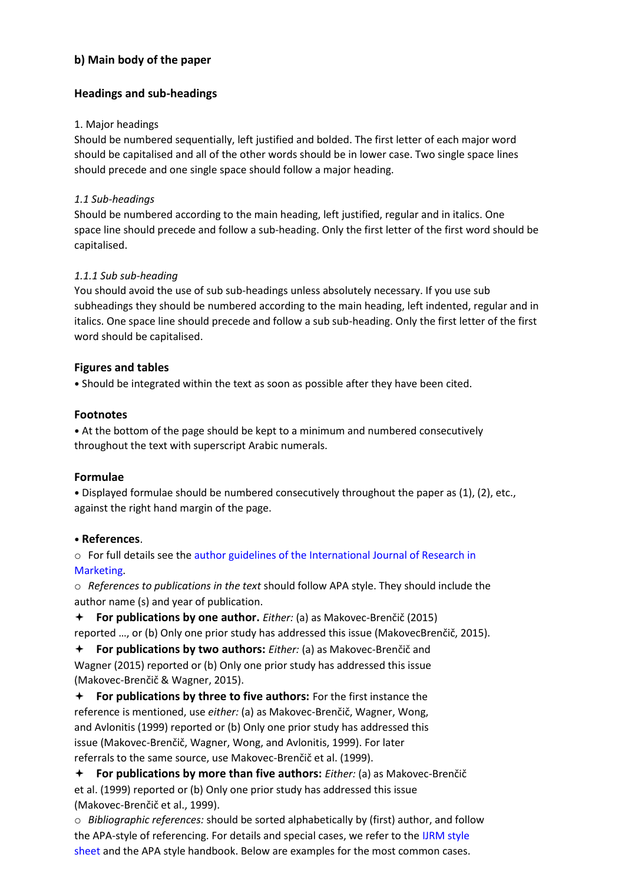# **b) Main body of the paper**

# **Headings and sub-headings**

### 1. Major headings

Should be numbered sequentially, left justified and bolded. The first letter of each major word should be capitalised and all of the other words should be in lower case. Two single space lines should precede and one single space should follow a major heading.

## *1.1 Sub-headings*

Should be numbered according to the main heading, left justified, regular and in italics. One space line should precede and follow a sub-heading. Only the first letter of the first word should be capitalised.

# *1.1.1 Sub sub-heading*

You should avoid the use of sub sub-headings unless absolutely necessary. If you use sub subheadings they should be numbered according to the main heading, left indented, regular and in italics. One space line should precede and follow a sub sub-heading. Only the first letter of the first word should be capitalised.

# **Figures and tables**

• Should be integrated within the text as soon as possible after they have been cited.

# **Footnotes**

• At the bottom of the page should be kept to a minimum and numbered consecutively throughout the text with superscript Arabic numerals.

# **Formulae**

• Displayed formulae should be numbered consecutively throughout the paper as (1), (2), etc., against the right hand margin of the page.

### • **References**.

o For full details see the author guidelines of the International Journal of Research in Marketing.

o *References to publications in the text* should follow APA style. They should include the author name (s) and year of publication.

 **For publications by one author.** *Either:* (a) as Makovec-Brenčič (2015) reported …, or (b) Only one prior study has addressed this issue (MakovecBrenčič, 2015).

 **For publications by two authors:** *Either:* (a) as Makovec-Brenčič and Wagner (2015) reported or (b) Only one prior study has addressed this issue (Makovec-Brenčič & Wagner, 2015).

 **For publications by three to five authors:** For the first instance the reference is mentioned, use *either:* (a) as Makovec-Brenčič, Wagner, Wong, and Avlonitis (1999) reported or (b) Only one prior study has addressed this issue (Makovec-Brenčič, Wagner, Wong, and Avlonitis, 1999). For later referrals to the same source, use Makovec-Brenčič et al. (1999).

 **For publications by more than five authors:** *Either:* (a) as Makovec-Brenčič et al. (1999) reported or (b) Only one prior study has addressed this issue (Makovec-Brenčič et al., 1999).

o *Bibliographic references:* should be sorted alphabetically by (first) author, and follow the APA-style of referencing. For details and special cases, we refer to the IJRM style sheet and the APA style handbook. Below are examples for the most common cases.